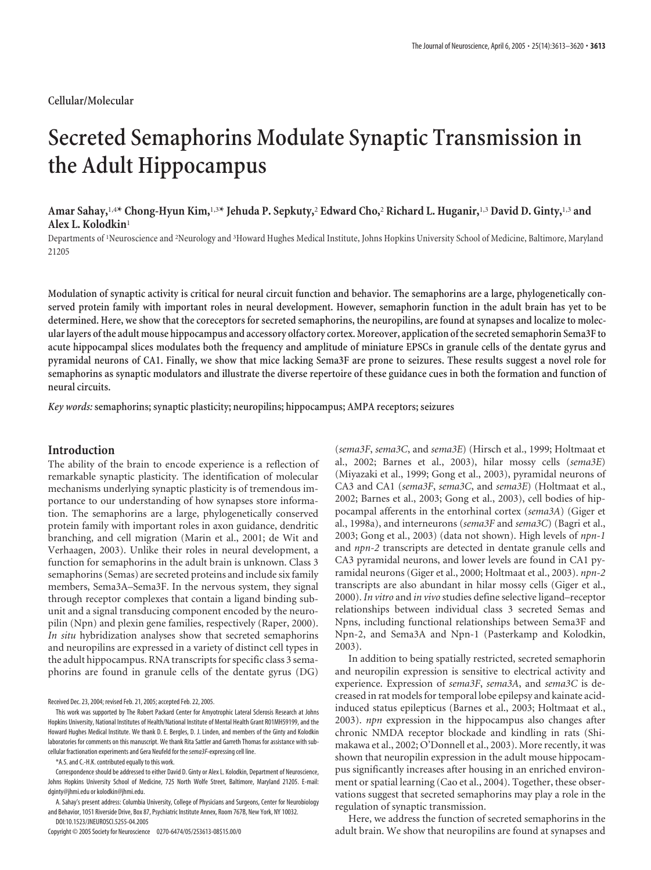## **Cellular/Molecular**

# **Secreted Semaphorins Modulate Synaptic Transmission in the Adult Hippocampus**

**Amar Sahay,**1,4**\* Chong-Hyun Kim,**1,3**\* Jehuda P. Sepkuty,**<sup>2</sup> **Edward Cho,**<sup>2</sup> **Richard L. Huganir,**1,3 **David D. Ginty,**1,3 **and Alex L. Kolodkin**<sup>1</sup>

Departments of 'Neuroscience and <sup>2</sup>Neurology and <sup>3</sup>Howard Hughes Medical Institute, Johns Hopkins University School of Medicine, Baltimore, Maryland 21205

**Modulation of synaptic activity is critical for neural circuit function and behavior. The semaphorins are a large, phylogenetically conserved protein family with important roles in neural development. However, semaphorin function in the adult brain has yet to be determined. Here, we show that the coreceptors for secreted semaphorins, the neuropilins, are found at synapses and localize to molecular layers of the adult mouse hippocampus and accessory olfactory cortex. Moreover, application of the secreted semaphorin Sema3F to acute hippocampal slices modulates both the frequency and amplitude of miniature EPSCs in granule cells of the dentate gyrus and pyramidal neurons of CA1. Finally, we show that mice lacking Sema3F are prone to seizures. These results suggest a novel role for semaphorins as synaptic modulators and illustrate the diverse repertoire of these guidance cues in both the formation and function of neural circuits.**

*Key words:* **semaphorins; synaptic plasticity; neuropilins; hippocampus; AMPA receptors; seizures**

### **Introduction**

The ability of the brain to encode experience is a reflection of remarkable synaptic plasticity. The identification of molecular mechanisms underlying synaptic plasticity is of tremendous importance to our understanding of how synapses store information. The semaphorins are a large, phylogenetically conserved protein family with important roles in axon guidance, dendritic branching, and cell migration (Marin et al., 2001; de Wit and Verhaagen, 2003). Unlike their roles in neural development, a function for semaphorins in the adult brain is unknown. Class 3 semaphorins (Semas) are secreted proteins and include six family members, Sema3A–Sema3F. In the nervous system, they signal through receptor complexes that contain a ligand binding subunit and a signal transducing component encoded by the neuropilin (Npn) and plexin gene families, respectively (Raper, 2000). *In situ* hybridization analyses show that secreted semaphorins and neuropilins are expressed in a variety of distinct cell types in the adult hippocampus. RNA transcripts for specific class 3 semaphorins are found in granule cells of the dentate gyrus (DG)

Received Dec. 23, 2004; revised Feb. 21, 2005; accepted Feb. 22, 2005.

\*A.S. and C.-H.K. contributed equally to this work.

Correspondence should be addressed to either David D. Ginty or Alex L. Kolodkin, Department of Neuroscience, Johns Hopkins University School of Medicine, 725 North Wolfe Street, Baltimore, Maryland 21205. E-mail: dginty@jhmi.edu or kolodkin@jhmi.edu.

A. Sahay's present address: Columbia University, College of Physicians and Surgeons, Center for Neurobiology and Behavior, 1051 Riverside Drive, Box 87, Psychiatric Institute Annex, Room 767B, New York, NY 10032. DOI:10.1523/JNEUROSCI.5255-04.2005

Copyright © 2005 Society for Neuroscience 0270-6474/05/253613-08\$15.00/0

(*sema3F*, *sema3C*, and *sema3E*) (Hirsch et al., 1999; Holtmaat et al., 2002; Barnes et al., 2003), hilar mossy cells (*sema3E*) (Miyazaki et al., 1999; Gong et al., 2003), pyramidal neurons of CA3 and CA1 (*sema3F*, *sema3C*, and *sema3E*) (Holtmaat et al., 2002; Barnes et al., 2003; Gong et al., 2003), cell bodies of hippocampal afferents in the entorhinal cortex (*sema3A*) (Giger et al., 1998a), and interneurons (*sema3F* and *sema3C*) (Bagri et al., 2003; Gong et al., 2003) (data not shown). High levels of *npn-1* and *npn-2* transcripts are detected in dentate granule cells and CA3 pyramidal neurons, and lower levels are found in CA1 pyramidal neurons (Giger et al., 2000; Holtmaat et al., 2003). *npn-2* transcripts are also abundant in hilar mossy cells (Giger et al., 2000). *In vitro* and *in vivo* studies define selective ligand–receptor relationships between individual class 3 secreted Semas and Npns, including functional relationships between Sema3F and Npn-2, and Sema3A and Npn-1 (Pasterkamp and Kolodkin, 2003).

In addition to being spatially restricted, secreted semaphorin and neuropilin expression is sensitive to electrical activity and experience. Expression of *sema3F*, *sema3A*, and *sema3C* is decreased in rat models for temporal lobe epilepsy and kainate acidinduced status epilepticus (Barnes et al., 2003; Holtmaat et al., 2003). *npn* expression in the hippocampus also changes after chronic NMDA receptor blockade and kindling in rats (Shimakawa et al., 2002; O'Donnell et al., 2003). More recently, it was shown that neuropilin expression in the adult mouse hippocampus significantly increases after housing in an enriched environment or spatial learning (Cao et al., 2004). Together, these observations suggest that secreted semaphorins may play a role in the regulation of synaptic transmission.

Here, we address the function of secreted semaphorins in the adult brain. We show that neuropilins are found at synapses and

This work was supported by The Robert Packard Center for Amyotrophic Lateral Sclerosis Research at Johns Hopkins University, National Institutes of Health/National Institute of Mental Health Grant R01MH59199, and the Howard Hughes Medical Institute. We thank D. E. Bergles, D. J. Linden, and members of the Ginty and Kolodkin laboratories for comments on this manuscript. We thank Rita Sattler and Garreth Thomas for assistance with subcellular fractionation experiments and Gera Neufeld for the*sema3F*-expressing cell line.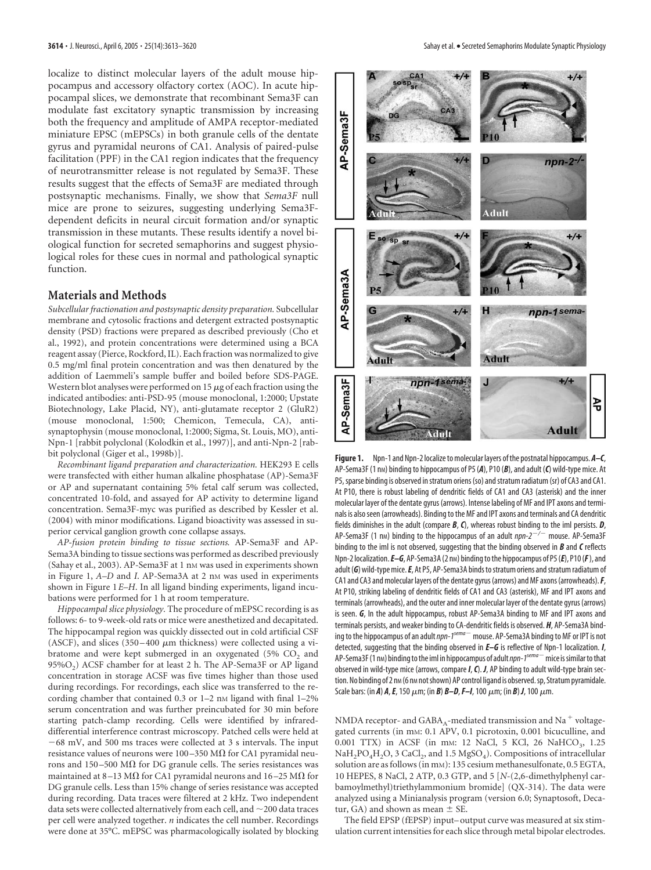localize to distinct molecular layers of the adult mouse hippocampus and accessory olfactory cortex (AOC). In acute hippocampal slices, we demonstrate that recombinant Sema3F can modulate fast excitatory synaptic transmission by increasing both the frequency and amplitude of AMPA receptor-mediated miniature EPSC (mEPSCs) in both granule cells of the dentate gyrus and pyramidal neurons of CA1. Analysis of paired-pulse facilitation (PPF) in the CA1 region indicates that the frequency of neurotransmitter release is not regulated by Sema3F. These results suggest that the effects of Sema3F are mediated through postsynaptic mechanisms. Finally, we show that *Sema3F* null mice are prone to seizures, suggesting underlying Sema3Fdependent deficits in neural circuit formation and/or synaptic transmission in these mutants. These results identify a novel biological function for secreted semaphorins and suggest physiological roles for these cues in normal and pathological synaptic function.

#### **Materials and Methods**

*Subcellular fractionation and postsynaptic density preparation.* Subcellular membrane and cytosolic fractions and detergent extracted postsynaptic density (PSD) fractions were prepared as described previously (Cho et al., 1992), and protein concentrations were determined using a BCA reagent assay (Pierce, Rockford, IL). Each fraction was normalized to give 0.5 mg/ml final protein concentration and was then denatured by the addition of Laemmeli's sample buffer and boiled before SDS-PAGE. Western blot analyses were performed on 15  $\mu$ g of each fraction using the indicated antibodies: anti-PSD-95 (mouse monoclonal, 1:2000; Upstate Biotechnology, Lake Placid, NY), anti-glutamate receptor 2 (GluR2) (mouse monoclonal, 1:500; Chemicon, Temecula, CA), antisynaptophysin (mouse monoclonal, 1:2000; Sigma, St. Louis, MO), anti-Npn-1 [rabbit polyclonal (Kolodkin et al., 1997)], and anti-Npn-2 [rabbit polyclonal (Giger et al., 1998b)].

*Recombinant ligand preparation and characterization.* HEK293 E cells were transfected with either human alkaline phosphatase (AP)-Sema3F or AP and supernatant containing 5% fetal calf serum was collected, concentrated 10-fold, and assayed for AP activity to determine ligand concentration. Sema3F-myc was purified as described by Kessler et al. (2004) with minor modifications. Ligand bioactivity was assessed in superior cervical ganglion growth cone collapse assays.

*AP-fusion protein binding to tissue sections.* AP-Sema3F and AP-Sema3A binding to tissue sections was performed as described previously (Sahay et al., 2003). AP-Sema3F at 1 nm was used in experiments shown in Figure 1, *A–D* and *I*. AP-Sema3A at 2 nM was used in experiments shown in Figure 1*E–H*. In all ligand binding experiments, ligand incubations were performed for 1 h at room temperature.

*Hippocampal slice physiology.* The procedure of mEPSC recording is as follows: 6- to 9-week-old rats or mice were anesthetized and decapitated. The hippocampal region was quickly dissected out in cold artificial CSF (ASCF), and slices (350-400  $\mu$ m thickness) were collected using a vibratome and were kept submerged in an oxygenated (5%  $CO<sub>2</sub>$  and  $95\%O<sub>2</sub>$ ) ACSF chamber for at least 2 h. The AP-Sema3F or AP ligand concentration in storage ACSF was five times higher than those used during recordings. For recordings, each slice was transferred to the recording chamber that contained  $0.3$  or  $1-2$  nm ligand with final  $1-2\%$ serum concentration and was further preincubated for 30 min before starting patch-clamp recording. Cells were identified by infrareddifferential interference contrast microscopy. Patched cells were held at  $-68$  mV, and 500 ms traces were collected at 3 s intervals. The input resistance values of neurons were 100–350 M $\Omega$  for CA1 pyramidal neurons and 150–500 M $\Omega$  for DG granule cells. The series resistances was maintained at 8–13 M $\Omega$  for CA1 pyramidal neurons and 16–25 M $\Omega$  for DG granule cells. Less than 15% change of series resistance was accepted during recording. Data traces were filtered at 2 kHz. Two independent data sets were collected alternatively from each cell, and  $\sim$  200 data traces per cell were analyzed together. *n* indicates the cell number. Recordings were done at 35°C. mEPSC was pharmacologically isolated by blocking



**Figure 1.** Npn-1 and Npn-2 localize to molecular layers of the postnatal hippocampus. *A–C*, AP-Sema3F (1 nm) binding to hippocampus of P5 (A), P10 (B), and adult (C) wild-type mice. At P5, sparse binding is observed in stratum oriens (so) and stratum radiatum (sr) of CA3 and CA1. At P10, there is robust labeling of dendritic fields of CA1 and CA3 (asterisk) and the inner molecular layer of the dentate gyrus (arrows). Intense labeling of MF and IPT axons and terminals is alsoseen (arrowheads). Binding to the MF and IPT axons and terminals and CA dendritic fields diminishes in the adult (compare *B*, *C*), whereas robust binding to the iml persists. *D*, AP-Sema3F (1 n<sub>M</sub>) binding to the hippocampus of an adult  $npn-2<sup>-/-</sup>$  mouse. AP-Sema3F binding to the iml is not observed, suggesting that the binding observed in *B* and *C* reflects Npn-2 localization.  $E-G$ , AP-Sema3A (2 nm) binding to the hippocampus of P5( $E$ ), P10( $F$ ), and adult (G) wild-type mice. E, At P5, AP-Sema3A binds to stratum oriens and stratum radiatum of CA1 and CA3 and molecular layers of the dentate gyrus (arrows) and MF axons (arrowheads).*F*, At P10, striking labeling of dendritic fields of CA1 and CA3 (asterisk), MF and IPT axons and terminals (arrowheads), and the outer and inner molecular layer of the dentate gyrus (arrows) is seen. *G*, In the adult hippocampus, robust AP-Sema3A binding to MF and IPT axons and terminals persists, and weaker binding to CA-dendritic fields is observed. *H*, AP-Sema3A binding to the hippocampus of an adult *npn-1<sup>sema* -</sup> mouse. AP-Sema3A binding to MF or IPT is not detected, suggesting that the binding observed in *E–G* is reflective of Npn-1 localization. *I*, AP-Sema3F(1 nm) binding to the iml in hippocampus of adult *npn-1<sup>sema* -</sup> mice is similar to that observed in wild-type mice (arrows, compare*I*,*C*). *J*, AP binding to adult wild-type brain section. No binding of 2 nm (6 nm not shown) AP control ligand is observed. sp, Stratum pyramidale. Scale bars: (in *A*) *A*, *E*, 150  $\mu$ m; (in *B*) *B-D*, *F-I*, 100  $\mu$ m; (in *B*) *J*, 100  $\mu$ m.

NMDA receptor- and  $GABA_A$ -mediated transmission and Na<sup>+</sup> voltagegated currents (in mM: 0.1 APV, 0.1 picrotoxin, 0.001 bicuculline, and 0.001 TTX) in ACSF (in mm: 12 NaCl, 5 KCl, 26 NaHCO<sub>3</sub>, 1.25 NaH<sub>2</sub>PO<sub>4</sub>H<sub>2</sub>O, 3 CaCl<sub>2</sub>, and 1.5 MgSO<sub>4</sub>). Compositions of intracellular solution are as follows (in mm): 135 cesium methanesulfonate, 0.5 EGTA, 10 HEPES, 8 NaCl, 2 ATP, 0.3 GTP, and 5 [*N*-(2,6-dimethylphenyl carbamoylmethyl)triethylammonium bromide] (QX-314). The data were analyzed using a Minianalysis program (version 6.0; Synaptosoft, Decatur, GA) and shown as mean  $\pm$  SE.

The field EPSP (fEPSP) input– output curve was measured at six stimulation current intensities for each slice through metal bipolar electrodes.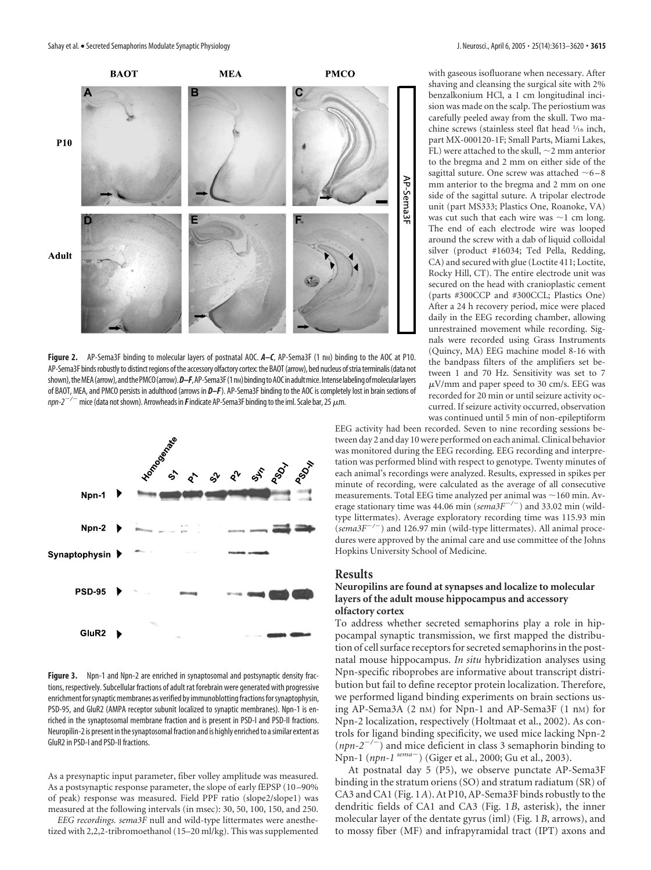

Figure 2. AP-Sema3F binding to molecular layers of postnatal AOC. A-C, AP-Sema3F (1 nm) binding to the AOC at P10. AP-Sema3F binds robustly to distinct regions of the accessory olfactory cortex: the BAOT (arrow), bed nucleus of stria terminalis (data not shown), the MEA (arrow), and the PMCO (arrow). *D–F*, AP-Sema3F(1nM) binding to AOC in adult mice. Intense labeling of molecular layers of BAOT, MEA, and PMCO persists in adulthood (arrows in *D–F*). AP-Sema3F binding to the AOC is completely lost in brain sections of *npn-2<sup>-/-</sup>* mice (data not shown). Arrowheads in *F* indicate AP-Sema3F binding to the iml. Scale bar, 25  $\mu$ m.



**Figure 3.** Npn-1 and Npn-2 are enriched in synaptosomal and postsynaptic density fractions, respectively. Subcellular fractions of adult rat forebrain were generated with progressive enrichment for synaptic membranes as verified by immunoblotting fractions for synaptophysin, PSD-95, and GluR2 (AMPA receptor subunit localized to synaptic membranes). Npn-1 is enriched in the synaptosomal membrane fraction and is present in PSD-I and PSD-II fractions. Neuropilin-2 is present in the synaptosomal fraction and is highly enriched to a similar extent as GluR2 in PSD-I and PSD-II fractions.

As a presynaptic input parameter, fiber volley amplitude was measured. As a postsynaptic response parameter, the slope of early fEPSP (10 –90% of peak) response was measured. Field PPF ratio (slope2/slope1) was measured at the following intervals (in msec): 30, 50, 100, 150, and 250.

*EEG recordings. sema3F* null and wild-type littermates were anesthetized with 2,2,2-tribromoethanol (15–20 ml/kg). This was supplemented with gaseous isofluorane when necessary. After shaving and cleansing the surgical site with 2% benzalkonium HCl, a 1 cm longitudinal incision was made on the scalp. The periostium was carefully peeled away from the skull. Two machine screws (stainless steel flat head 1⁄16 inch, part MX-000120-1F; Small Parts, Miami Lakes, FL) were attached to the skull,  $\sim$ 2 mm anterior to the bregma and 2 mm on either side of the sagittal suture. One screw was attached  $~6$ –8 mm anterior to the bregma and 2 mm on one side of the sagittal suture. A tripolar electrode unit (part MS333; Plastics One, Roanoke, VA) was cut such that each wire was  $\sim$ 1 cm long. The end of each electrode wire was looped around the screw with a dab of liquid colloidal silver (product #16034; Ted Pella, Redding, CA) and secured with glue (Loctite 411; Loctite, Rocky Hill, CT). The entire electrode unit was secured on the head with cranioplastic cement (parts #300CCP and #300CCL; Plastics One) After a 24 h recovery period, mice were placed daily in the EEG recording chamber, allowing unrestrained movement while recording. Signals were recorded using Grass Instruments (Quincy, MA) EEG machine model 8-16 with the bandpass filters of the amplifiers set between 1 and 70 Hz. Sensitivity was set to 7  $\mu$ V/mm and paper speed to 30 cm/s. EEG was recorded for 20 min or until seizure activity occurred. If seizure activity occurred, observation was continued until 5 min of non-epileptiform

EEG activity had been recorded. Seven to nine recording sessions between day 2 and day 10 were performed on each animal. Clinical behavior was monitored during the EEG recording. EEG recording and interpretation was performed blind with respect to genotype. Twenty minutes of each animal's recordings were analyzed. Results, expressed in spikes per minute of recording, were calculated as the average of all consecutive measurements. Total EEG time analyzed per animal was  $\sim$  160 min. Average stationary time was 44.06 min ( $\text{sema3F}^{-/-}$ ) and 33.02 min (wildtype littermates). Average exploratory recording time was 115.93 min (*sema3F/*) and 126.97 min (wild-type littermates). All animal procedures were approved by the animal care and use committee of the Johns Hopkins University School of Medicine.

#### **Results**

#### **Neuropilins are found at synapses and localize to molecular layers of the adult mouse hippocampus and accessory olfactory cortex**

To address whether secreted semaphorins play a role in hippocampal synaptic transmission, we first mapped the distribution of cell surface receptors for secreted semaphorins in the postnatal mouse hippocampus. *In situ* hybridization analyses using Npn-specific riboprobes are informative about transcript distribution but fail to define receptor protein localization. Therefore, we performed ligand binding experiments on brain sections using AP-Sema3A (2 nM) for Npn-1 and AP-Sema3F (1 nM) for Npn-2 localization, respectively (Holtmaat et al., 2002). As controls for ligand binding specificity, we used mice lacking Npn-2  $(npn-2^{-/-})$  and mice deficient in class 3 semaphorin binding to Npn-1 (*npn-1 sema*) (Giger et al., 2000; Gu et al., 2003).

At postnatal day 5 (P5), we observe punctate AP-Sema3F binding in the stratum oriens (SO) and stratum radiatum (SR) of CA3 and CA1 (Fig. 1*A*). At P10, AP-Sema3F binds robustly to the dendritic fields of CA1 and CA3 (Fig. 1*B*, asterisk), the inner molecular layer of the dentate gyrus (iml) (Fig. 1*B*, arrows), and to mossy fiber (MF) and infrapyramidal tract (IPT) axons and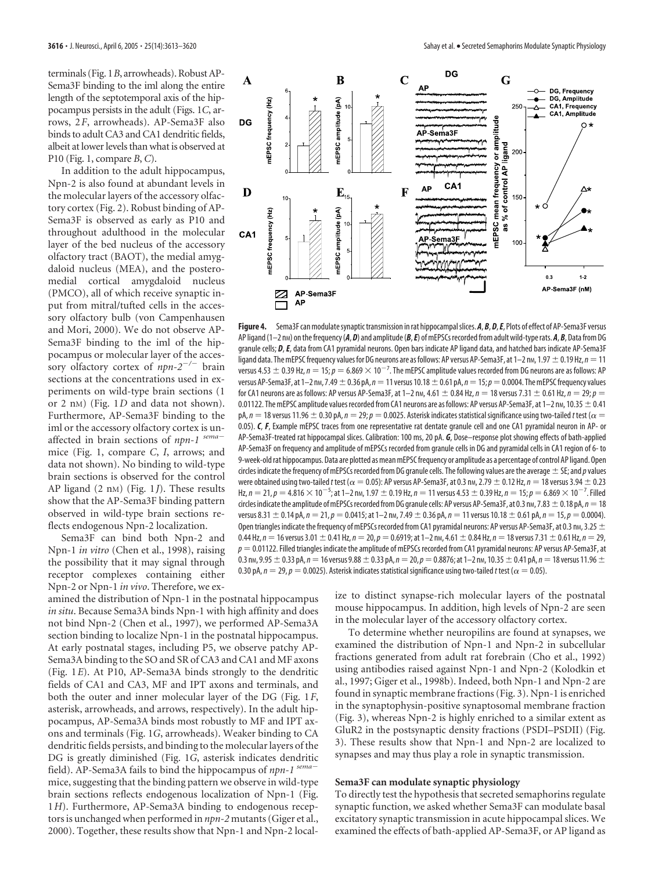terminals (Fig. 1*B*, arrowheads). Robust AP-Sema3F binding to the iml along the entire length of the septotemporal axis of the hippocampus persists in the adult (Figs. 1*C*, arrows, 2*F*, arrowheads). AP-Sema3F also binds to adult CA3 and CA1 dendritic fields, albeit at lower levels than what is observed at P10 (Fig. 1, compare *B*, *C*).

In addition to the adult hippocampus, Npn-2 is also found at abundant levels in the molecular layers of the accessory olfactory cortex (Fig. 2). Robust binding of AP-Sema3F is observed as early as P10 and throughout adulthood in the molecular layer of the bed nucleus of the accessory olfactory tract (BAOT), the medial amygdaloid nucleus (MEA), and the posteromedial cortical amygdaloid nucleus (PMCO), all of which receive synaptic input from mitral/tufted cells in the accessory olfactory bulb (von Campenhausen and Mori, 2000). We do not observe AP-Sema3F binding to the iml of the hippocampus or molecular layer of the accessory olfactory cortex of  $npn-2^{-/-}$  brain sections at the concentrations used in experiments on wild-type brain sections (1 or 2 nM) (Fig. 1*D* and data not shown). Furthermore, AP-Sema3F binding to the iml or the accessory olfactory cortex is unaffected in brain sections of *npn-1 sema* mice (Fig. 1, compare *C*, *I*, arrows; and data not shown). No binding to wild-type brain sections is observed for the control AP ligand (2 nM) (Fig. 1*J*). These results show that the AP-Sema3F binding pattern observed in wild-type brain sections reflects endogenous Npn-2 localization.

Sema3F can bind both Npn-2 and Npn-1 *in vitro* (Chen et al., 1998), raising the possibility that it may signal through receptor complexes containing either Npn-2 or Npn-1 *in vivo*. Therefore, we ex-

amined the distribution of Npn-1 in the postnatal hippocampus *in situ*. Because Sema3A binds Npn-1 with high affinity and does not bind Npn-2 (Chen et al., 1997), we performed AP-Sema3A section binding to localize Npn-1 in the postnatal hippocampus. At early postnatal stages, including P5, we observe patchy AP-Sema3A binding to the SO and SR of CA3 and CA1 and MF axons (Fig. 1*E*). At P10, AP-Sema3A binds strongly to the dendritic fields of CA1 and CA3, MF and IPT axons and terminals, and both the outer and inner molecular layer of the DG (Fig. 1*F*, asterisk, arrowheads, and arrows, respectively). In the adult hippocampus, AP-Sema3A binds most robustly to MF and IPT axons and terminals (Fig. 1*G*, arrowheads). Weaker binding to CA dendritic fields persists, and binding to the molecular layers of the DG is greatly diminished (Fig. 1*G*, asterisk indicates dendritic field). AP-Sema3A fails to bind the hippocampus of *npn-1 sema* mice, suggesting that the binding pattern we observe in wild-type brain sections reflects endogenous localization of Npn-1 (Fig. 1*H*). Furthermore, AP-Sema3A binding to endogenous receptors is unchanged when performed in *npn-2* mutants (Giger et al., 2000). Together, these results show that Npn-1 and Npn-2 local-



Figure 4. Sema3F can modulate synaptic transmission in rat hippocampal slices. A, B, D, E, Plots of effect of AP-Sema3F versus AP ligand (1–2 nm) on the frequency (A, D) and amplitude (B, E) of mEPSCs recorded from adult wild-type rats. A, B, Data from DG granule cells; *D*,*E*, data from CA1 pyramidal neurons. Open bars indicate AP ligand data, and hatched bars indicate AP-Sema3F ligand data. The mEPSC frequency values for DG neurons are as follows: AP versus AP-Sema3F, at 1–2 n<sub>M</sub>, 1.97  $\pm$  0.19 Hz,  $n=11$ versus 4.53  $\pm$  0.39 Hz,  $n = 15$ ;  $p = 6.869 \times 10^{-7}$ . The mEPSC amplitude values recorded from DG neurons are as follows: AP versus AP-Sema3F, at 1–2 nm, 7.49  $\pm$  0.36 pA,  $n=11$  versus 10.18  $\pm$  0.61 pA,  $n=15$ ;  $p=0.0004$ . The mEPSC frequency values for CA1 neurons are as follows: AP versus AP-Sema3F, at 1–2 nm, 4.61  $\pm$  0.84 Hz,  $n = 18$  versus 7.31  $\pm$  0.61 Hz,  $n = 29$ ;  $p =$ 0.01122. The mEPSC amplitude values recorded from CA1 neurons are as follows: AP versus AP-Sema3F, at 1–2 nm, 10.35  $\pm$  0.41 pA,  $n=18$  versus 11.96  $\pm$  0.30 pA,  $n=$  29;  $p=$  0.0025. Asterisk indicates statistical significance using two-tailed *t* test ( $\alpha=$ 0.05). *C*, *F*, Example mEPSC traces from one representative rat dentate granule cell and one CA1 pyramidal neuron in AP- or AP-Sema3F-treated rat hippocampal slices. Calibration: 100 ms, 20 pA. *G*, Dose–response plot showing effects of bath-applied AP-Sema3F on frequency and amplitude of mEPSCs recorded from granule cells in DG and pyramidal cells in CA1 region of 6- to 9-week-old rat hippocampus. Data are plotted as mean mEPSC frequency or amplitude as a percentage of control AP ligand. Open circles indicate the frequency of mEPSCs recorded from DG granule cells. The following values are the average  $\pm$  SE; and *p* values were obtained using two-tailed *t* test ( $\alpha=$  0.05): AP versus AP-Sema3F, at 0.3 nm, 2.79  $\pm$  0.12 Hz,  $n$   $=$  18 versus 3.94  $\pm$  0.23 Hz,  $n = 21$ ,  $p = 4.816 \times 10^{-5}$ ; at 1–2 nm, 1.97  $\pm$  0.19 Hz,  $n = 11$  versus 4.53  $\pm$  0.39 Hz,  $n = 15$ ;  $p = 6.869 \times 10^{-7}$ . Filled circles indicate the amplitude of mEPSCs recorded from DG granule cells: AP versus AP-Sema3F, at 0.3 nm, 7.83  $\pm$  0.18 pA,  $n = 18$ versus 8.31  $\pm$  0.14 pA,  $n = 21$ ,  $p = 0.0415$ ; at 1–2 nm, 7.49  $\pm$  0.36 pA,  $n = 11$  versus 10.18  $\pm$  0.61 pA,  $n = 15$ ,  $p = 0.0004$ ). Open triangles indicate the frequency of mEPSCs recorded from CA1 pyramidal neurons: AP versus AP-Sema3F, at 0.3 nm, 3.25  $\pm$ 0.44 Hz,  $n = 16$  versus 3.01  $\pm$  0.41 Hz,  $n = 20$ ,  $p = 0.6919$ ; at  $1-2$  nm, 4.61  $\pm$  0.84 Hz,  $n = 18$  versus 7.31  $\pm$  0.61 Hz,  $n = 29$ ,  $p = 0.01122$ . Filled triangles indicate the amplitude of mEPSCs recorded from CA1 pyramidal neurons: AP versus AP-Sema3F, at 0.3 nm, 9.95  $\pm$  0.33 pA, *n* = 16 versus 9.88  $\pm$  0.33 pA, *n* = 20, *p* = 0.8876; at 1–2 nm, 10.35  $\pm$  0.41 pA, *n* = 18 versus 11.96  $\pm$ 0.30 pA,  $n=$  29,  $p=$  0.0025). Asterisk indicates statistical significance using two-tailed t test ( $\alpha=$  0.05).

ize to distinct synapse-rich molecular layers of the postnatal mouse hippocampus. In addition, high levels of Npn-2 are seen in the molecular layer of the accessory olfactory cortex.

To determine whether neuropilins are found at synapses, we examined the distribution of Npn-1 and Npn-2 in subcellular fractions generated from adult rat forebrain (Cho et al., 1992) using antibodies raised against Npn-1 and Npn-2 (Kolodkin et al., 1997; Giger et al., 1998b). Indeed, both Npn-1 and Npn-2 are found in synaptic membrane fractions (Fig. 3). Npn-1 is enriched in the synaptophysin-positive synaptosomal membrane fraction (Fig. 3), whereas Npn-2 is highly enriched to a similar extent as GluR2 in the postsynaptic density fractions (PSDI–PSDII) (Fig. 3). These results show that Npn-1 and Npn-2 are localized to synapses and may thus play a role in synaptic transmission.

#### **Sema3F can modulate synaptic physiology**

To directly test the hypothesis that secreted semaphorins regulate synaptic function, we asked whether Sema3F can modulate basal excitatory synaptic transmission in acute hippocampal slices. We examined the effects of bath-applied AP-Sema3F, or AP ligand as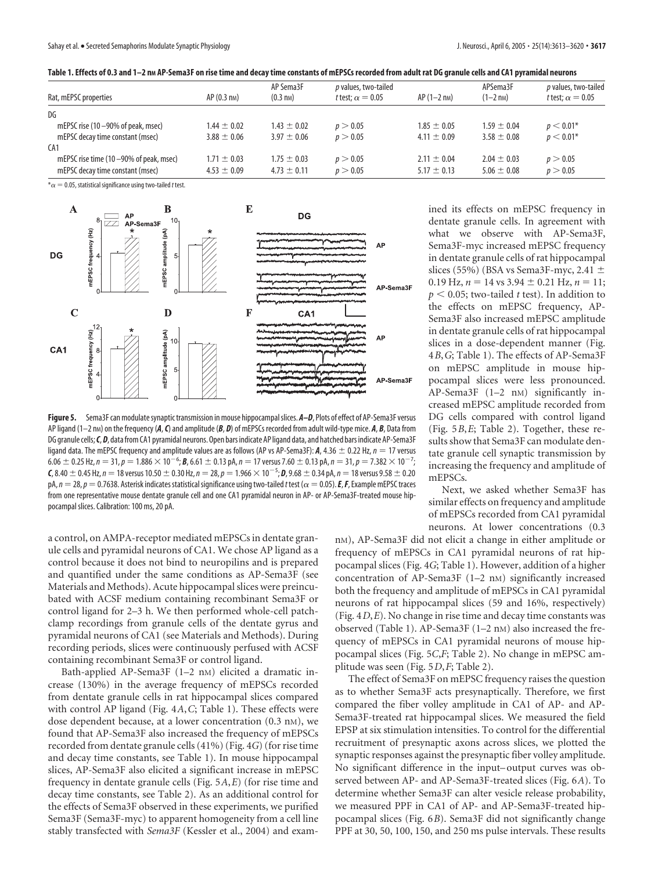|  | Table 1. Effects of 0.3 and 1–2 nm AP-Sema3F on rise time and decay time constants of mEPSCs recorded from adult rat DG granule cells and CA1 pyramidal neurons |  |
|--|-----------------------------------------------------------------------------------------------------------------------------------------------------------------|--|
|  |                                                                                                                                                                 |  |

| Rat, mEPSC properties                   | $AP(0.3 \text{ nm})$ | AP Sema3F<br>$(0.3 \text{ nm})$ | p values, two-tailed<br><i>t</i> test: $\alpha = 0.05$ | $AP(1-2 \text{ nm})$ | APSema3F<br>$(1-2)$ n <sub>M</sub> ) | p values, two-tailed<br>t test: $\alpha = 0.05$ |
|-----------------------------------------|----------------------|---------------------------------|--------------------------------------------------------|----------------------|--------------------------------------|-------------------------------------------------|
| DG                                      |                      |                                 |                                                        |                      |                                      |                                                 |
| mEPSC rise (10 $-90\%$ of peak, msec)   | $1.44 \pm 0.02$      | $1.43 \pm 0.02$                 | p > 0.05                                               | $1.85 \pm 0.05$      | $1.59 \pm 0.04$                      | $p < 0.01*$                                     |
| mEPSC decay time constant (msec)        | $3.88 \pm 0.06$      | $3.97 \pm 0.06$                 | p > 0.05                                               | $4.11 \pm 0.09$      | $3.58 \pm 0.08$                      | $p < 0.01*$                                     |
| CA1                                     |                      |                                 |                                                        |                      |                                      |                                                 |
| mEPSC rise time (10 -90% of peak, msec) | $1.71 \pm 0.03$      | $1.75 \pm 0.03$                 | p > 0.05                                               | $2.11 \pm 0.04$      | $2.04 \pm 0.03$                      | p > 0.05                                        |
| mEPSC decay time constant (msec)        | $4.53 \pm 0.09$      | $4.73 \pm 0.11$                 | p > 0.05                                               | $5.17 \pm 0.13$      | $5.06 \pm 0.08$                      | p > 0.05                                        |

 $*\alpha = 0.05$ , statistical significance using two-tailed t test.



Figure 5. Sema3F can modulate synaptic transmission in mouse hippocampal slices.  $A-D$ , Plots of effect of AP-Sema3F versus AP ligand (1–2 n<sub>M</sub>) on the frequency ( $A$ ,  $C$ ) and amplitude ( $B$ ,  $D$ ) of mEPSCs recorded from adult wild-type mice.  $A$ ,  $B$ , Data from DG granule cells;*C*,*D*, data from CA1 pyramidal neurons. Open bars indicate AP ligand data, and hatched bars indicate AP-Sema3F ligand data. The mEPSC frequency and amplitude values are as follows (AP vs AP-Sema3F):  $A$ , 4.36  $\pm$  0.22 Hz,  $n = 17$  versus  $6.06\pm0.25$  Hz,  $n=31$ ,  $p=1.886\times10^{-6}$ ;  $\bm{B}$ ,  $6.61\pm0.13$  pA,  $n=17$  versus 7.60  $\pm$  0.13 pA,  $n=31$ ,  $p=7.382\times10^{-7}$ ;  $\bm{\mathsf{C}}$ , 8.40  $\pm$  0.45 Hz,  $n=18$  versus 10.50  $\pm$  0.30 Hz,  $n=$  28,  $p=$  1.966  $\times$  10 $^{-5}$ ;  $\bm{\mathsf{D}}$ , 9.68  $\pm$  0.34 pA,  $n=$  18 versus 9.58  $\pm$  0.20 pA,  $n=28$ ,  $p=0.7638$ . Asterisk indicates statistical significance using two-tailed *t* test ( $\alpha=0.05$ ). **E, F**, Example mEPSC traces from one representative mouse dentate granule cell and one CA1 pyramidal neuron in AP- or AP-Sema3F-treated mouse hippocampal slices. Calibration: 100 ms, 20 pA.

a control, on AMPA-receptor mediated mEPSCs in dentate granule cells and pyramidal neurons of CA1. We chose AP ligand as a control because it does not bind to neuropilins and is prepared and quantified under the same conditions as AP-Sema3F (see Materials and Methods). Acute hippocampal slices were preincubated with ACSF medium containing recombinant Sema3F or control ligand for 2–3 h. We then performed whole-cell patchclamp recordings from granule cells of the dentate gyrus and pyramidal neurons of CA1 (see Materials and Methods). During recording periods, slices were continuously perfused with ACSF containing recombinant Sema3F or control ligand.

Bath-applied AP-Sema3F (1–2 nM) elicited a dramatic increase (130%) in the average frequency of mEPSCs recorded from dentate granule cells in rat hippocampal slices compared with control AP ligand (Fig. 4*A*,*C*; Table 1). These effects were dose dependent because, at a lower concentration (0.3 nM), we found that AP-Sema3F also increased the frequency of mEPSCs recorded from dentate granule cells (41%) (Fig. 4*G*) (for rise time and decay time constants, see Table 1). In mouse hippocampal slices, AP-Sema3F also elicited a significant increase in mEPSC frequency in dentate granule cells (Fig. 5*A*,*E*) (for rise time and decay time constants, see Table 2). As an additional control for the effects of Sema3F observed in these experiments, we purified Sema3F (Sema3F-myc) to apparent homogeneity from a cell line stably transfected with *Sema3F* (Kessler et al., 2004) and examined its effects on mEPSC frequency in dentate granule cells. In agreement with what we observe with AP-Sema3F, Sema3F-myc increased mEPSC frequency in dentate granule cells of rat hippocampal slices (55%) (BSA vs Sema3F-myc, 2.41  $\pm$  $0.19$  Hz,  $n = 14$  vs  $3.94 \pm 0.21$  Hz,  $n = 11$ ;  $p < 0.05$ ; two-tailed *t* test). In addition to the effects on mEPSC frequency, AP-Sema3F also increased mEPSC amplitude in dentate granule cells of rat hippocampal slices in a dose-dependent manner (Fig. 4*B*,*G*; Table 1). The effects of AP-Sema3F on mEPSC amplitude in mouse hippocampal slices were less pronounced. AP-Sema3F (1-2 nm) significantly increased mEPSC amplitude recorded from DG cells compared with control ligand (Fig. 5*B*,*E*; Table 2). Together, these results show that Sema3F can modulate dentate granule cell synaptic transmission by increasing the frequency and amplitude of mEPSCs.

Next, we asked whether Sema3F has similar effects on frequency and amplitude of mEPSCs recorded from CA1 pyramidal neurons. At lower concentrations (0.3

nM), AP-Sema3F did not elicit a change in either amplitude or frequency of mEPSCs in CA1 pyramidal neurons of rat hippocampal slices (Fig. 4*G*; Table 1). However, addition of a higher concentration of AP-Sema3F (1-2 nM) significantly increased both the frequency and amplitude of mEPSCs in CA1 pyramidal neurons of rat hippocampal slices (59 and 16%, respectively) (Fig. 4*D*,*E*). No change in rise time and decay time constants was observed (Table 1). AP-Sema3F (1–2 nM) also increased the frequency of mEPSCs in CA1 pyramidal neurons of mouse hippocampal slices (Fig. 5*C*,*F*; Table 2). No change in mEPSC amplitude was seen (Fig. 5*D*,*F*; Table 2).

The effect of Sema3F on mEPSC frequency raises the question as to whether Sema3F acts presynaptically. Therefore, we first compared the fiber volley amplitude in CA1 of AP- and AP-Sema3F-treated rat hippocampal slices. We measured the field EPSP at six stimulation intensities. To control for the differential recruitment of presynaptic axons across slices, we plotted the synaptic responses against the presynaptic fiber volley amplitude. No significant difference in the input– output curves was observed between AP- and AP-Sema3F-treated slices (Fig. 6*A*). To determine whether Sema3F can alter vesicle release probability, we measured PPF in CA1 of AP- and AP-Sema3F-treated hippocampal slices (Fig. 6*B*). Sema3F did not significantly change PPF at 30, 50, 100, 150, and 250 ms pulse intervals. These results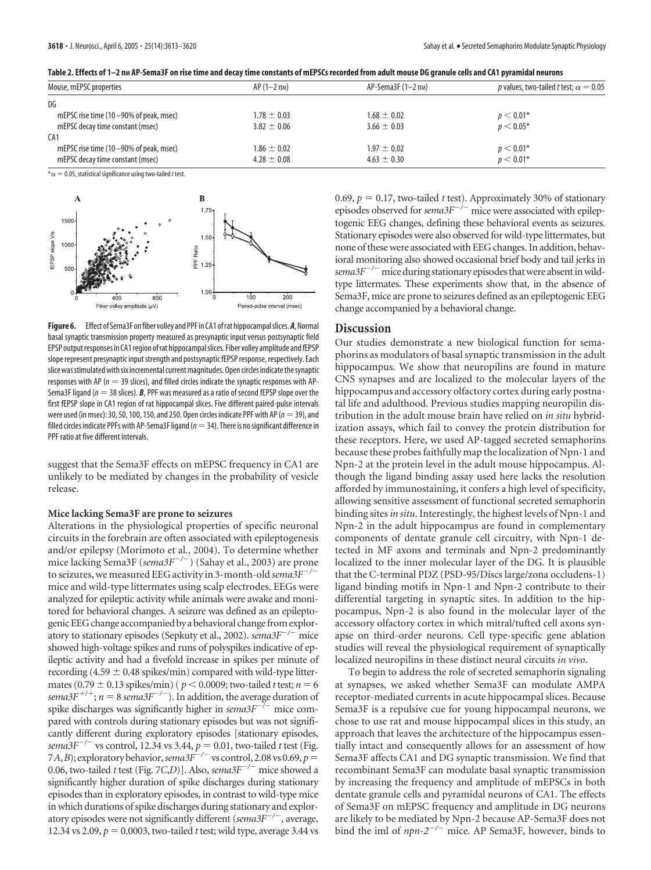| Table 2. Effects of 1–2 nm AP-Sema3F on rise time and decay time constants of mEPSCs recorded from adult mouse DG granule cells and CA1 pyramidal neurons |  |
|-----------------------------------------------------------------------------------------------------------------------------------------------------------|--|
|                                                                                                                                                           |  |

| Mouse, mEPSC properties                   | $AP(1-2 \text{ nm})$ | $AP-Sema3F(1-2 nm)$ | p values, two-tailed t test; $\alpha = 0.05$ |
|-------------------------------------------|----------------------|---------------------|----------------------------------------------|
| DG                                        |                      |                     |                                              |
| mEPSC rise time (10 -90% of peak, msec)   | $1.78 \pm 0.03$      | $1.68 \pm 0.02$     | $p < 0.01*$                                  |
| mEPSC decay time constant (msec)          | $3.82 \pm 0.06$      | $3.66 \pm 0.03$     | $p < 0.05*$                                  |
| CA1                                       |                      |                     |                                              |
| mEPSC rise time $(10-90\%$ of peak, msec) | $1.86 \pm 0.02$      | $1.97 \pm 0.02$     | $p < 0.01*$                                  |
| mEPSC decay time constant (msec)          | $4.28 \pm 0.08$      | $4.63 \pm 0.30$     | $p < 0.01*$                                  |

 $^*\alpha$   $=$  0.05, statistical significance using two-tailed *t* test.



**Figure6.** Effect of Sema3F onfiber volley and PPF in CA1 ofrat hippocampalslices.*A*,Normal basal synaptic transmission property measured as presynaptic input versus postsynaptic field EPSP output responses in CA1 region of rat hippocampal slices. Fiber volley amplitude and fEPSP slope represent presynaptic input strength and postsynaptic fEPSP response, respectively. Each slice was stimulated with six incremental current magnitudes. Open circles indicate the synaptic responses with AP ( $n = 39$  slices), and filled circles indicate the synaptic responses with AP-Sema3F ligand ( $n = 38$  slices). **B**, PPF was measured as a ratio of second fEPSP slope over the first fEPSP slope in CA1 region of rat hippocampal slices. Five different paired-pulse intervals were used (in msec): 30, 50, 100, 150, and 250. Open circles indicate PPF with AP ( $n=39$ ), and filled circles indicate PPFs with AP-Sema3F ligand ( $n=34$ ). There is no significant difference in PPF ratio at five different intervals.

suggest that the Sema3F effects on mEPSC frequency in CA1 are unlikely to be mediated by changes in the probability of vesicle release.

#### **Mice lacking Sema3F are prone to seizures**

Alterations in the physiological properties of specific neuronal circuits in the forebrain are often associated with epileptogenesis and/or epilepsy (Morimoto et al., 2004). To determine whether mice lacking Sema3F (*sema3F<sup>-/-</sup>*) (Sahay et al., 2003) are prone to seizures, we measured EEG activity in 3-month-old *sema3F/* mice and wild-type littermates using scalp electrodes. EEGs were analyzed for epileptic activity while animals were awake and monitored for behavioral changes. A seizure was defined as an epileptogenic EEG change accompanied by a behavioral change from exploratory to stationary episodes (Sepkuty et al., 2002). *sema3F<sup>-/-</sup>* mice showed high-voltage spikes and runs of polyspikes indicative of epileptic activity and had a fivefold increase in spikes per minute of recording (4.59  $\pm$  0.48 spikes/min) compared with wild-type littermates (0.79  $\pm$  0.13 spikes/min) ( $p < 0.0009$ ; two-tailed *t* test;  $n = 6$ *sema3F*<sup> $+/-$ </sup>;  $n = 8$  *sema3F<sup>* $-/-$ *</sup>*). In addition, the average duration of spike discharges was significantly higher in  $\text{sem}a3F^{-/-}$  mice compared with controls during stationary episodes but was not significantly different during exploratory episodes [stationary episodes, *sema3F<sup>* $-/-$ *</sup>* vs control, 12.34 vs 3.44,  $p = 0.01$ , two-tailed *t* test (Fig. 7*A*,*B*); exploratory behavior, *sema3F<sup>-/-</sup>* vs control, 2.08 vs 0.69, *p* = 0.06, two-tailed *t* test (Fig. 7*C*,*D*)]. Also,  $\frac{1}{2}$  *sema3F<sup>-/-</sup>* mice showed a significantly higher duration of spike discharges during stationary episodes than in exploratory episodes, in contrast to wild-type mice in which durations of spike discharges during stationary and exploratory episodes were not significantly different (*sema3F<sup>-/-</sup>*, average, 12.34 vs 2.09,  $p = 0.0003$ , two-tailed *t* test; wild type, average 3.44 vs

0.69,  $p = 0.17$ , two-tailed *t* test). Approximately 30% of stationary episodes observed for *sema3F<sup>-/-</sup>* mice were associated with epileptogenic EEG changes, defining these behavioral events as seizures. Stationary episodes were also observed for wild-type littermates, but none of these were associated with EEG changes. In addition, behavioral monitoring also showed occasional brief body and tail jerks in *sema3F/* mice during stationary episodes that were absent in wildtype littermates. These experiments show that, in the absence of Sema3F, mice are prone to seizures defined as an epileptogenic EEG change accompanied by a behavioral change.

## **Discussion**

Our studies demonstrate a new biological function for semaphorins as modulators of basal synaptic transmission in the adult hippocampus. We show that neuropilins are found in mature CNS synapses and are localized to the molecular layers of the hippocampus and accessory olfactory cortex during early postnatal life and adulthood. Previous studies mapping neuropilin distribution in the adult mouse brain have relied on *in situ* hybridization assays, which fail to convey the protein distribution for these receptors. Here, we used AP-tagged secreted semaphorins because these probes faithfully map the localization of Npn-1 and Npn-2 at the protein level in the adult mouse hippocampus. Although the ligand binding assay used here lacks the resolution afforded by immunostaining, it confers a high level of specificity, allowing sensitive assessment of functional secreted semaphorin binding sites *in situ*. Interestingly, the highest levels of Npn-1 and Npn-2 in the adult hippocampus are found in complementary components of dentate granule cell circuitry, with Npn-1 detected in MF axons and terminals and Npn-2 predominantly localized to the inner molecular layer of the DG. It is plausible that the C-terminal PDZ (PSD-95/Discs large/zona occludens-1) ligand binding motifs in Npn-1 and Npn-2 contribute to their differential targeting in synaptic sites. In addition to the hippocampus, Npn-2 is also found in the molecular layer of the accessory olfactory cortex in which mitral/tufted cell axons synapse on third-order neurons. Cell type-specific gene ablation studies will reveal the physiological requirement of synaptically localized neuropilins in these distinct neural circuits *in vivo*.

To begin to address the role of secreted semaphorin signaling at synapses, we asked whether Sema3F can modulate AMPA receptor-mediated currents in acute hippocampal slices. Because Sema3F is a repulsive cue for young hippocampal neurons, we chose to use rat and mouse hippocampal slices in this study, an approach that leaves the architecture of the hippocampus essentially intact and consequently allows for an assessment of how Sema3F affects CA1 and DG synaptic transmission. We find that recombinant Sema3F can modulate basal synaptic transmission by increasing the frequency and amplitude of mEPSCs in both dentate granule cells and pyramidal neurons of CA1. The effects of Sema3F on mEPSC frequency and amplitude in DG neurons are likely to be mediated by Npn-2 because AP-Sema3F does not bind the iml of  $npn-2^{-/-}$  mice. AP Sema3F, however, binds to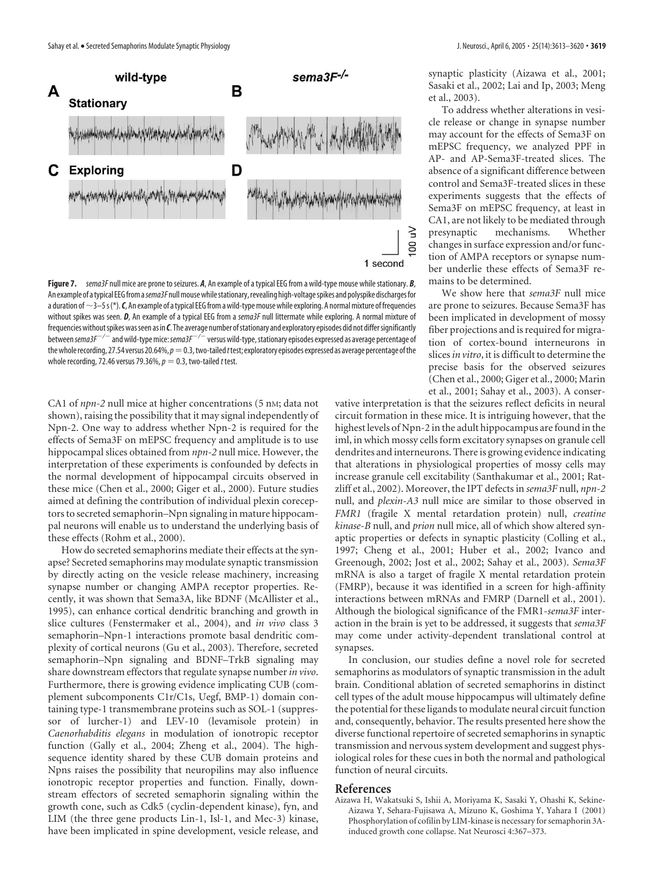

**Figure 7.** *sema3F* null mice are prone to seizures. *A*, An example of a typical EEG from a wild-type mouse while stationary. *B*, An example of a typical EEG from a *sema3F* null mouse while stationary, revealing high-voltage spikes and polyspike discharges for a duration of  $\sim$ 3–5s(\*). *C*, An example of a typical EEG from a wild-type mouse while exploring. A normal mixture of frequencies without spikes was seen. *D*, An example of a typical EEG from a *sema3F* null littermate while exploring. A normal mixture of frequencies without spikes was seen as in *C*. The average number of stationary and exploratory episodes did not differ significantly between *sema3F/* and wild-typemice:*sema3F/* versus wild-type,stationary episodes expressed as average percentage of the whole recording, 27.54 versus 20.64%,  $p=0.3$ , two-tailed *t* test; exploratory episodes expressed as average percentage of the whole recording, 72.46 versus 79.36%,  $p = 0.3$ , two-tailed *t* test.

CA1 of *npn-2* null mice at higher concentrations (5 nM; data not shown), raising the possibility that it may signal independently of Npn-2. One way to address whether Npn-2 is required for the effects of Sema3F on mEPSC frequency and amplitude is to use hippocampal slices obtained from *npn-2* null mice. However, the interpretation of these experiments is confounded by defects in the normal development of hippocampal circuits observed in these mice (Chen et al., 2000; Giger et al., 2000). Future studies aimed at defining the contribution of individual plexin coreceptors to secreted semaphorin–Npn signaling in mature hippocampal neurons will enable us to understand the underlying basis of these effects (Rohm et al., 2000).

How do secreted semaphorins mediate their effects at the synapse? Secreted semaphorins may modulate synaptic transmission by directly acting on the vesicle release machinery, increasing synapse number or changing AMPA receptor properties. Recently, it was shown that Sema3A, like BDNF (McAllister et al., 1995), can enhance cortical dendritic branching and growth in slice cultures (Fenstermaker et al., 2004), and *in vivo* class 3 semaphorin–Npn-1 interactions promote basal dendritic complexity of cortical neurons (Gu et al., 2003). Therefore, secreted semaphorin–Npn signaling and BDNF–TrkB signaling may share downstream effectors that regulate synapse number*in vivo*. Furthermore, there is growing evidence implicating CUB (complement subcomponents C1r/C1s, Uegf, BMP-1) domain containing type-1 transmembrane proteins such as SOL-1 (suppressor of lurcher-1) and LEV-10 (levamisole protein) in *Caenorhabditis elegans* in modulation of ionotropic receptor function (Gally et al., 2004; Zheng et al., 2004). The highsequence identity shared by these CUB domain proteins and Npns raises the possibility that neuropilins may also influence ionotropic receptor properties and function. Finally, downstream effectors of secreted semaphorin signaling within the growth cone, such as Cdk5 (cyclin-dependent kinase), fyn, and LIM (the three gene products Lin-1, Isl-1, and Mec-3) kinase, have been implicated in spine development, vesicle release, and

synaptic plasticity (Aizawa et al., 2001; Sasaki et al., 2002; Lai and Ip, 2003; Meng et al., 2003).

To address whether alterations in vesicle release or change in synapse number may account for the effects of Sema3F on mEPSC frequency, we analyzed PPF in AP- and AP-Sema3F-treated slices. The absence of a significant difference between control and Sema3F-treated slices in these experiments suggests that the effects of Sema3F on mEPSC frequency, at least in CA1, are not likely to be mediated through presynaptic mechanisms. Whether changes in surface expression and/or function of AMPA receptors or synapse number underlie these effects of Sema3F remains to be determined.

We show here that *sema3F* null mice are prone to seizures. Because Sema3F has been implicated in development of mossy fiber projections and is required for migration of cortex-bound interneurons in slices*in vitro*, it is difficult to determine the precise basis for the observed seizures (Chen et al., 2000; Giger et al., 2000; Marin et al., 2001; Sahay et al., 2003). A conser-

vative interpretation is that the seizures reflect deficits in neural circuit formation in these mice. It is intriguing however, that the highest levels of Npn-2 in the adult hippocampus are found in the iml, in which mossy cells form excitatory synapses on granule cell dendrites and interneurons. There is growing evidence indicating that alterations in physiological properties of mossy cells may increase granule cell excitability (Santhakumar et al., 2001; Ratzliff et al., 2002). Moreover, the IPT defects in *sema3F* null, *npn-2* null, and *plexin-A3* null mice are similar to those observed in *FMR1* (fragile X mental retardation protein) null, *creatine kinase-B* null, and *prion* null mice, all of which show altered synaptic properties or defects in synaptic plasticity (Colling et al., 1997; Cheng et al., 2001; Huber et al., 2002; Ivanco and Greenough, 2002; Jost et al., 2002; Sahay et al., 2003). *Sema3F* mRNA is also a target of fragile X mental retardation protein (FMRP), because it was identified in a screen for high-affinity interactions between mRNAs and FMRP (Darnell et al., 2001). Although the biological significance of the FMR1-*sema3F* interaction in the brain is yet to be addressed, it suggests that *sema3F* may come under activity-dependent translational control at synapses.

In conclusion, our studies define a novel role for secreted semaphorins as modulators of synaptic transmission in the adult brain. Conditional ablation of secreted semaphorins in distinct cell types of the adult mouse hippocampus will ultimately define the potential for these ligands to modulate neural circuit function and, consequently, behavior. The results presented here show the diverse functional repertoire of secreted semaphorins in synaptic transmission and nervous system development and suggest physiological roles for these cues in both the normal and pathological function of neural circuits.

#### **References**

Aizawa H, Wakatsuki S, Ishii A, Moriyama K, Sasaki Y, Ohashi K, Sekine-Aizawa Y, Sehara-Fujisawa A, Mizuno K, Goshima Y, Yahara I (2001) Phosphorylation of cofilin by LIM-kinase is necessary for semaphorin 3Ainduced growth cone collapse. Nat Neurosci 4:367–373.